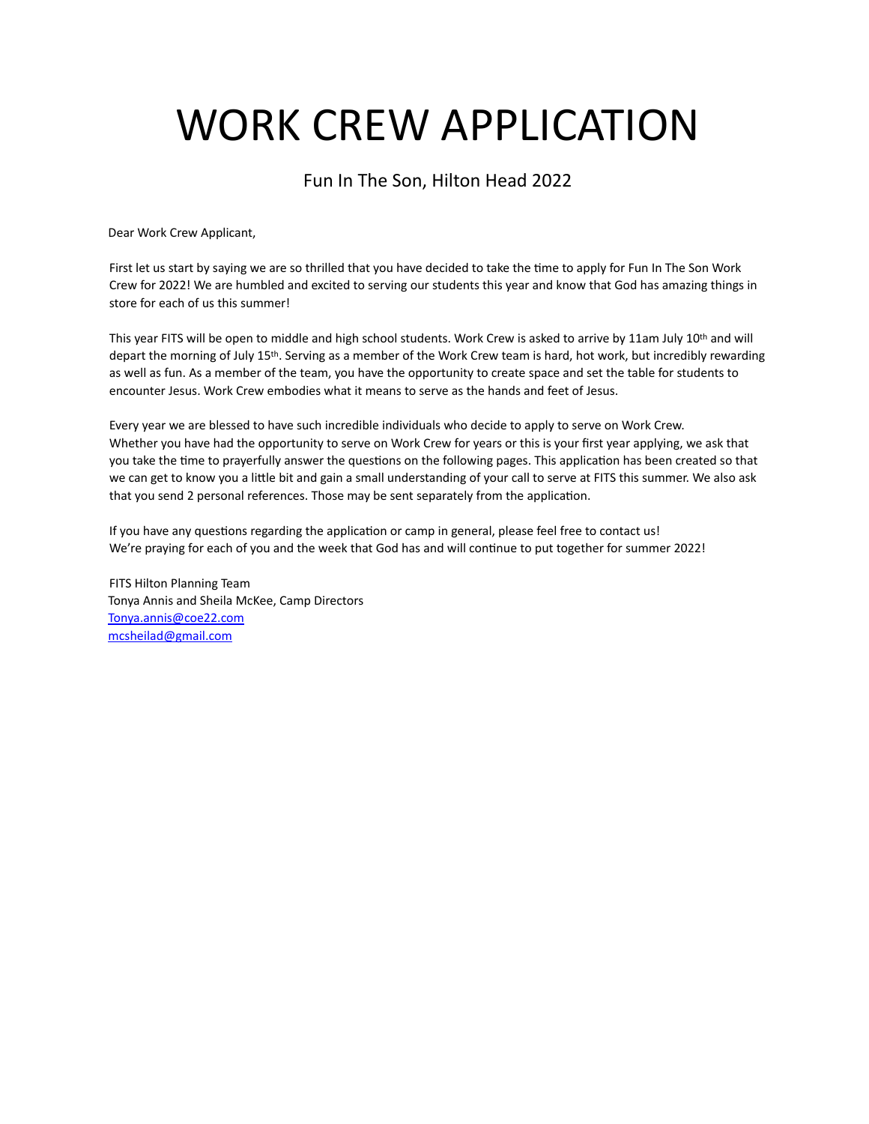# WORK CREW APPLICATION

Fun In The Son, Hilton Head 2022

Dear Work Crew Applicant,

First let us start by saying we are so thrilled that you have decided to take the time to apply for Fun In The Son Work Crew for 2022! We are humbled and excited to serving our students this year and know that God has amazing things in store for each of us this summer!

This year FITS will be open to middle and high school students. Work Crew is asked to arrive by 11am July 10<sup>th</sup> and will depart the morning of July 15th. Serving as a member of the Work Crew team is hard, hot work, but incredibly rewarding as well as fun. As a member of the team, you have the opportunity to create space and set the table for students to encounter Jesus. Work Crew embodies what it means to serve as the hands and feet of Jesus.

Every year we are blessed to have such incredible individuals who decide to apply to serve on Work Crew. Whether you have had the opportunity to serve on Work Crew for years or this is your first year applying, we ask that you take the time to prayerfully answer the questions on the following pages. This application has been created so that we can get to know you a little bit and gain a small understanding of your call to serve at FITS this summer. We also ask that you send 2 personal references. Those may be sent separately from the application.

If you have any questions regarding the application or camp in general, please feel free to contact us! We're praying for each of you and the week that God has and will continue to put together for summer 2022!

FITS Hilton Planning Team Tonya Annis and Sheila McKee, Camp Directors [Tonya.annis@coe22.com](mailto:Tonya.annis@coe22.com) [mcsheilad@gmail.com](mailto:mcsheilad@gmail.com)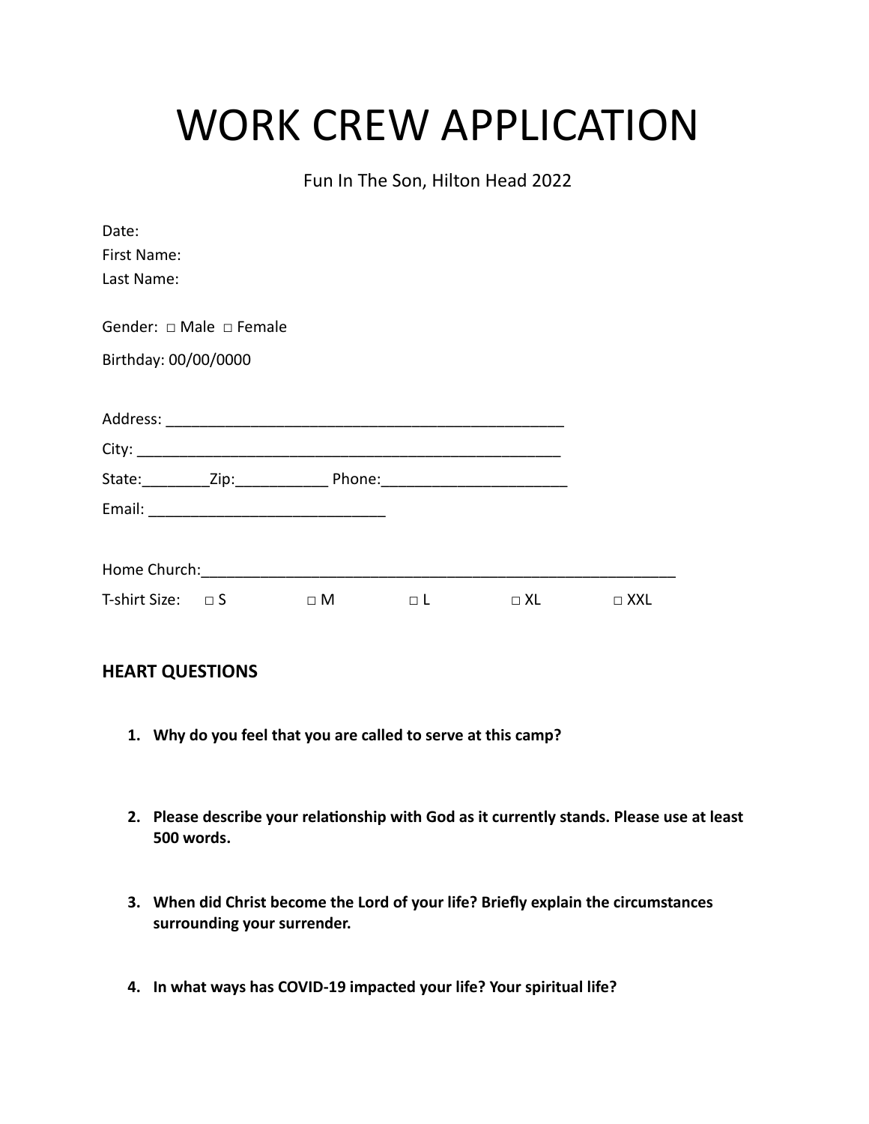# WORK CREW APPLICATION

Fun In The Son, Hilton Head 2022

| Date:                     |                                   |                                                                                  |                                        |  |
|---------------------------|-----------------------------------|----------------------------------------------------------------------------------|----------------------------------------|--|
| First Name:               |                                   |                                                                                  |                                        |  |
| Last Name:                |                                   |                                                                                  |                                        |  |
|                           |                                   |                                                                                  |                                        |  |
|                           | Gender: $\Box$ Male $\Box$ Female |                                                                                  |                                        |  |
| Birthday: 00/00/0000      |                                   |                                                                                  |                                        |  |
|                           |                                   |                                                                                  |                                        |  |
|                           |                                   |                                                                                  |                                        |  |
|                           |                                   |                                                                                  |                                        |  |
|                           |                                   | State:___________Zip:____________________Phone:_________________________________ |                                        |  |
|                           |                                   |                                                                                  |                                        |  |
|                           |                                   |                                                                                  |                                        |  |
|                           |                                   |                                                                                  |                                        |  |
| T-shirt Size: $\square$ S |                                   |                                                                                  | $\Box M$ $\Box L$ $\Box XL$ $\Box XXL$ |  |
|                           |                                   |                                                                                  |                                        |  |

### **HEART QUESTIONS**

- **1. Why do you feel that you are called to serve at this camp?**
- **2. Please describe your relationship with God as it currently stands. Please use at least 500 words.**
- **3. When did Christ become the Lord of your life? Briefly explain the circumstances surrounding your surrender.**
- **4. In what ways has COVID-19 impacted your life? Your spiritual life?**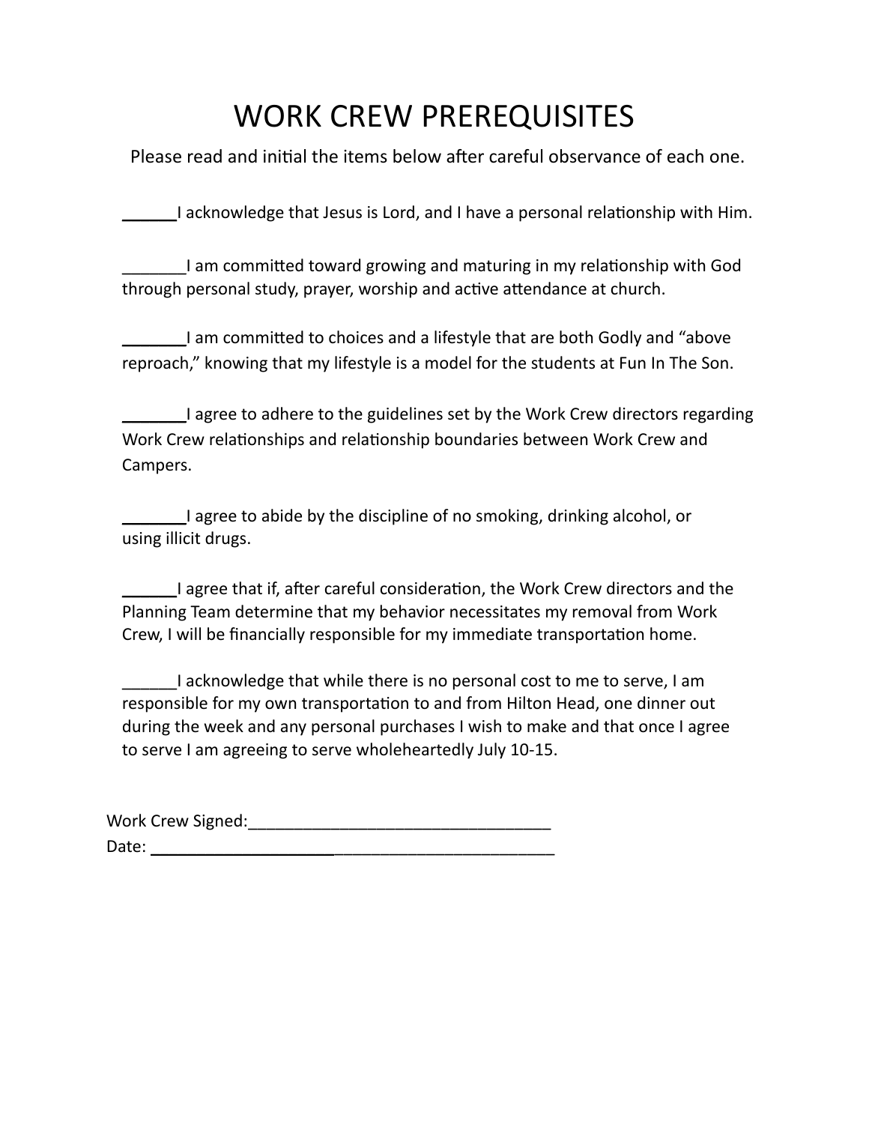## WORK CREW PREREQUISITES

Please read and initial the items below after careful observance of each one.

I acknowledge that Jesus is Lord, and I have a personal relationship with Him.

\_\_\_\_\_\_\_I am committed toward growing and maturing in my relationship with God through personal study, prayer, worship and active attendance at church.

\_\_\_\_\_\_\_I am committed to choices and a lifestyle that are both Godly and "above reproach," knowing that my lifestyle is a model for the students at Fun In The Son.

\_\_\_\_\_\_\_I agree to adhere to the guidelines set by the Work Crew directors regarding Work Crew relationships and relationship boundaries between Work Crew and Campers.

\_\_\_\_\_\_\_I agree to abide by the discipline of no smoking, drinking alcohol, or using illicit drugs.

\_\_\_\_\_\_I agree that if, after careful consideration, the Work Crew directors and the Planning Team determine that my behavior necessitates my removal from Work Crew, I will be financially responsible for my immediate transportation home.

I acknowledge that while there is no personal cost to me to serve, I am responsible for my own transportation to and from Hilton Head, one dinner out during the week and any personal purchases I wish to make and that once I agree to serve I am agreeing to serve wholeheartedly July 10-15.

Work Crew Signed: Work Crew Signed: Date:  $\Box$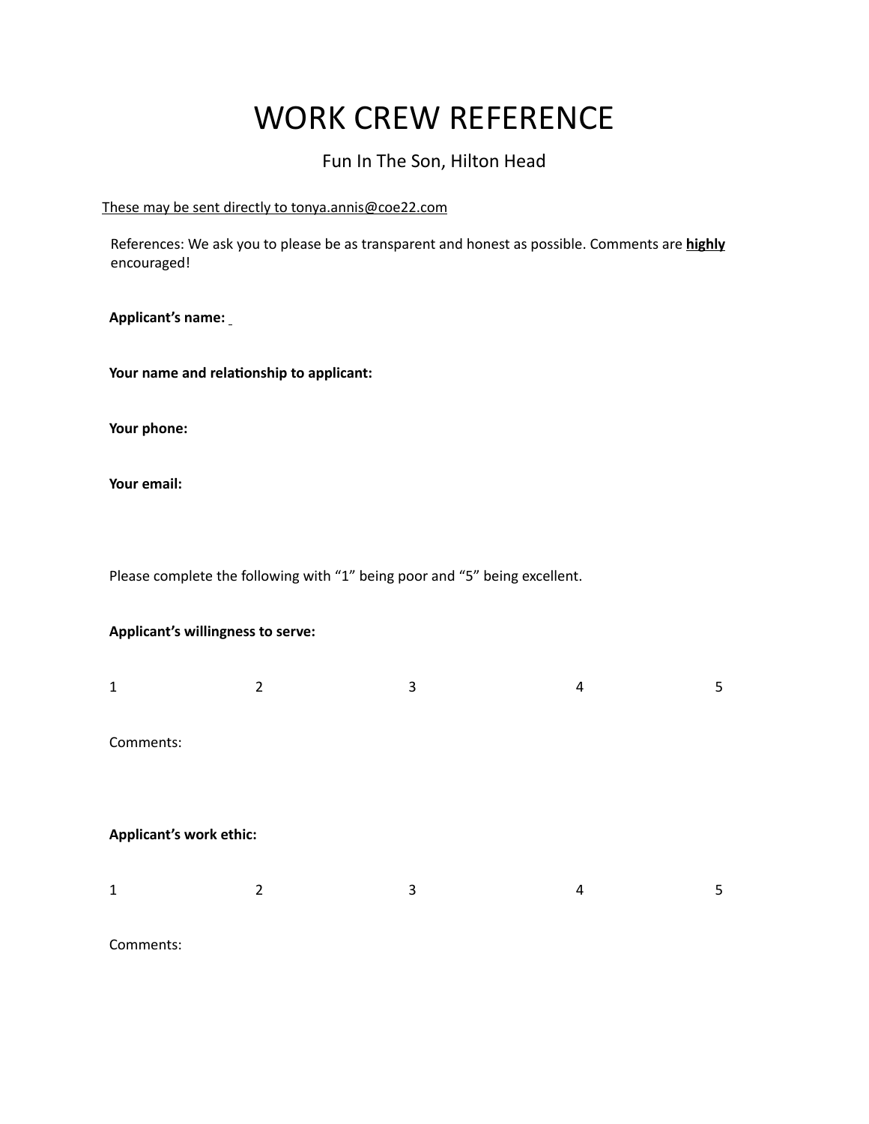## WORK CREW REFERENCE

### Fun In The Son, Hilton Head

### These may be sent directly to tonya.annis@coe22.com

References: We ask you to please be as transparent and honest as possible. Comments are **highly** encouraged!

**Applicant's name:** 

**Your name and relationship to applicant:** 

**Your phone:**

**Your email:** 

Please complete the following with "1" being poor and "5" being excellent.

### **Applicant's willingness to serve:**

| 2                       | 3 | 4 | 5 |
|-------------------------|---|---|---|
|                         |   |   |   |
|                         |   |   |   |
| Applicant's work ethic: |   |   |   |
| 2                       | 3 | 4 | 5 |
|                         |   |   |   |

Comments: